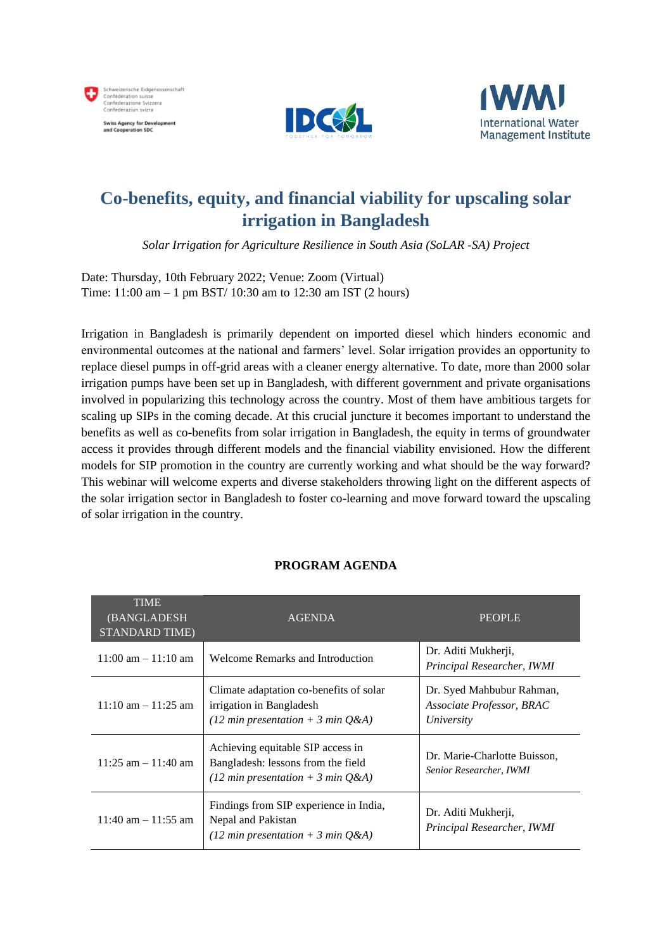





## **Co-benefits, equity, and financial viability for upscaling solar irrigation in Bangladesh**

*Solar Irrigation for Agriculture Resilience in South Asia (SoLAR -SA) Project*

Date: Thursday, 10th February 2022; Venue: Zoom (Virtual) Time: 11:00 am – 1 pm BST/ 10:30 am to 12:30 am IST (2 hours)

Irrigation in Bangladesh is primarily dependent on imported diesel which hinders economic and environmental outcomes at the national and farmers' level. Solar irrigation provides an opportunity to replace diesel pumps in off-grid areas with a cleaner energy alternative. To date, more than 2000 solar irrigation pumps have been set up in Bangladesh, with different government and private organisations involved in popularizing this technology across the country. Most of them have ambitious targets for scaling up SIPs in the coming decade. At this crucial juncture it becomes important to understand the benefits as well as co-benefits from solar irrigation in Bangladesh, the equity in terms of groundwater access it provides through different models and the financial viability envisioned. How the different models for SIP promotion in the country are currently working and what should be the way forward? This webinar will welcome experts and diverse stakeholders throwing light on the different aspects of the solar irrigation sector in Bangladesh to foster co-learning and move forward toward the upscaling of solar irrigation in the country.

| <b>TIME</b><br>(BANGLADESH)<br><b>STANDARD TIME)</b> | <b>AGENDA</b>                                                                                                    | <b>PEOPLE</b>                                                        |
|------------------------------------------------------|------------------------------------------------------------------------------------------------------------------|----------------------------------------------------------------------|
| $11:00$ am $-11:10$ am                               | Welcome Remarks and Introduction                                                                                 | Dr. Aditi Mukherji,<br>Principal Researcher, IWMI                    |
| $11:10$ am $-11:25$ am                               | Climate adaptation co-benefits of solar<br>irrigation in Bangladesh<br>(12 min presentation + 3 min $Q&A$ )      | Dr. Syed Mahbubur Rahman,<br>Associate Professor, BRAC<br>University |
| $11:25$ am $-11:40$ am                               | Achieving equitable SIP access in<br>Bangladesh: lessons from the field<br>(12 min presentation + 3 min $Q\&A$ ) | Dr. Marie-Charlotte Buisson,<br>Senior Researcher, IWMI              |
| $11:40$ am $-11:55$ am                               | Findings from SIP experience in India,<br>Nepal and Pakistan<br>(12 min presentation + 3 min $Q&A$ )             | Dr. Aditi Mukherji,<br>Principal Researcher, IWMI                    |

## **PROGRAM AGENDA**